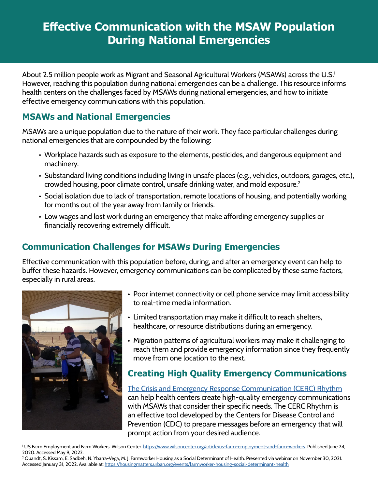# **Effective Communication with the MSAW Population During National Emergencies**

About 2.5 million people work as Migrant and Seasonal Agricultural Workers (MSAWs) across the U.S.<sup>1</sup> However, reaching this population during national emergencies can be a challenge. This resource informs health centers on the challenges faced by MSAWs during national emergencies, and how to initiate effective emergency communications with this population.

#### **MSAWs and National Emergencies**

MSAWs are a unique population due to the nature of their work. They face particular challenges during national emergencies that are compounded by the following:

- Workplace hazards such as exposure to the elements, pesticides, and dangerous equipment and machinery.
- Substandard living conditions including living in unsafe places (e.g., vehicles, outdoors, garages, etc.), crowded housing, poor climate control, unsafe drinking water, and mold exposure.2
- Social isolation due to lack of transportation, remote locations of housing, and potentially working for months out of the year away from family or friends.
- Low wages and lost work during an emergency that make affording emergency supplies or financially recovering extremely difficult.

## **Communication Challenges for MSAWs During Emergencies**

Effective communication with this population before, during, and after an emergency event can help to buffer these hazards. However, emergency communications can be complicated by these same factors, especially in rural areas.



- Poor internet connectivity or cell phone service may limit accessibility to real-time media information.
- Limited transportation may make it difficult to reach shelters, healthcare, or resource distributions during an emergency.
- Migration patterns of agricultural workers may make it challenging to reach them and provide emergency information since they frequently move from one location to the next.

## **Creating High Quality Emergency Communications**

[The Crisis and Emergency Response Communication \(CERC\) Rhythm](https://emergency.cdc.gov/cerc/ppt/CERC_Introduction.pdf) can help health centers create high-quality emergency communications with MSAWs that consider their specific needs. The CERC Rhythm is an effective tool developed by the Centers for Disease Control and Prevention (CDC) to prepare messages before an emergency that will prompt action from your desired audience.

<sup>1</sup>US Farm Employment and Farm Workers. Wilson Center. <https://www.wilsoncenter.org/article/us-farm-employment-and-farm-workers>. Published June 24, 2020. Accessed May 9, 2022.

2 Quandt, S. Kissam, E. Sadbeh, N. Ybarra-Vega, M. J. Farmworker Housing as a Social Determinant of Health. Presented via webinar on November 30, 2021. Accessed January 31, 2022. Available at: <https://housingmatters.urban.org/events/farmworker-housing-social-determinant-health>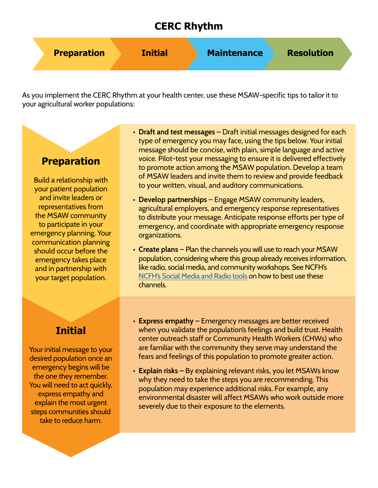## **CERC Rhythm**



As you implement the CERC Rhythm at your health center, use these MSAW-specific tips to tailor it to your agricultural worker populations:

### **Preparation**

Build a relationship with your patient population and invite leaders or representatives from the MSAW community to participate in your emergency planning. Your communication planning should occur before the emergency takes place and in partnership with your target population.

# **Initial**

Your initial message to your desired population once an emergency begins will be the one they remember. You will need to act quickly, express empathy and explain the most urgent steps communities should take to reduce harm.

- **Draft and test messages** Draft initial messages designed for each type of emergency you may face, using the tips below. Your initial message should be concise, with plain, simple language and active voice. Pilot-test your messaging to ensure it is delivered effectively to promote action among the MSAW population. Develop a team of MSAW leaders and invite them to review and provide feedback to your written, visual, and auditory communications.
- **Develop partnerships** Engage MSAW community leaders, agricultural employers, and emergency response representatives to distribute your message. Anticipate response efforts per type of emergency, and coordinate with appropriate emergency response organizations.
- **Create plans** Plan the channels you will use to reach your MSAW population, considering where this group already receives information, like radio, social media, and community workshops. See NCFH's [NCFH's Social Media and Radio tools](http://www.ncfh.org/social-media--radio.html) on how to best use these channels.
- **Express empathy** Emergency messages are better received when you validate the population's feelings and build trust. Health center outreach staff or Community Health Workers (CHWs) who are familiar with the community they serve may understand the fears and feelings of this population to promote greater action.
- **Explain risks –** By explaining relevant risks, you let MSAWs know why they need to take the steps you are recommending. This population may experience additional risks. For example, any environmental disaster will affect MSAWs who work outside more severely due to their exposure to the elements.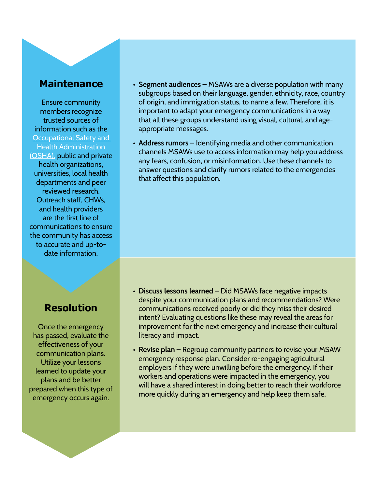#### **Maintenance**

Ensure community members recognize trusted sources of information such as the [Occupational Safety and](https://www.osha.gov/emergency-preparedness)  [Health Administration](https://www.osha.gov/emergency-preparedness)  [\(OSHA\)](https://www.osha.gov/emergency-preparedness), public and private health organizations, universities, local health departments and peer reviewed research. Outreach staff, CHWs, and health providers are the first line of communications to ensure the community has access to accurate and up-todate information.

## **Resolution**

Once the emergency has passed, evaluate the effectiveness of your communication plans. Utilize your lessons learned to update your plans and be better prepared when this type of emergency occurs again.

- **• Segment audiences** MSAWs are a diverse population with many subgroups based on their language, gender, ethnicity, race, country of origin, and immigration status, to name a few. Therefore, it is important to adapt your emergency communications in a way that all these groups understand using visual, cultural, and ageappropriate messages.
- **• Address rumors** Identifying media and other communication channels MSAWs use to access information may help you address any fears, confusion, or misinformation. Use these channels to answer questions and clarify rumors related to the emergencies that affect this population.

- **• Discuss lessons learned** Did MSAWs face negative impacts despite your communication plans and recommendations? Were communications received poorly or did they miss their desired intent? Evaluating questions like these may reveal the areas for improvement for the next emergency and increase their cultural literacy and impact.
- **• Revise plan –** Regroup community partners to revise your MSAW emergency response plan. Consider re-engaging agricultural employers if they were unwilling before the emergency. If their workers and operations were impacted in the emergency, you will have a shared interest in doing better to reach their workforce more quickly during an emergency and help keep them safe.